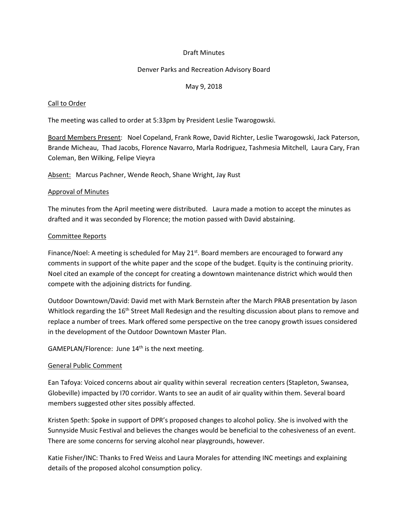### Draft Minutes

### Denver Parks and Recreation Advisory Board

### May 9, 2018

### Call to Order

The meeting was called to order at 5:33pm by President Leslie Twarogowski.

Board Members Present: Noel Copeland, Frank Rowe, David Richter, Leslie Twarogowski, Jack Paterson, Brande Micheau, Thad Jacobs, Florence Navarro, Marla Rodriguez, Tashmesia Mitchell, Laura Cary, Fran Coleman, Ben Wilking, Felipe Vieyra

Absent: Marcus Pachner, Wende Reoch, Shane Wright, Jay Rust

#### Approval of Minutes

The minutes from the April meeting were distributed. Laura made a motion to accept the minutes as drafted and it was seconded by Florence; the motion passed with David abstaining.

#### Committee Reports

Finance/Noel: A meeting is scheduled for May  $21<sup>st</sup>$ . Board members are encouraged to forward any comments in support of the white paper and the scope of the budget. Equity is the continuing priority. Noel cited an example of the concept for creating a downtown maintenance district which would then compete with the adjoining districts for funding.

Outdoor Downtown/David: David met with Mark Bernstein after the March PRAB presentation by Jason Whitlock regarding the 16<sup>th</sup> Street Mall Redesign and the resulting discussion about plans to remove and replace a number of trees. Mark offered some perspective on the tree canopy growth issues considered in the development of the Outdoor Downtown Master Plan.

GAMEPLAN/Florence: June 14<sup>th</sup> is the next meeting.

#### General Public Comment

Ean Tafoya: Voiced concerns about air quality within several recreation centers (Stapleton, Swansea, Globeville) impacted by I70 corridor. Wants to see an audit of air quality within them. Several board members suggested other sites possibly affected.

Kristen Speth: Spoke in support of DPR's proposed changes to alcohol policy. She is involved with the Sunnyside Music Festival and believes the changes would be beneficial to the cohesiveness of an event. There are some concerns for serving alcohol near playgrounds, however.

Katie Fisher/INC: Thanks to Fred Weiss and Laura Morales for attending INC meetings and explaining details of the proposed alcohol consumption policy.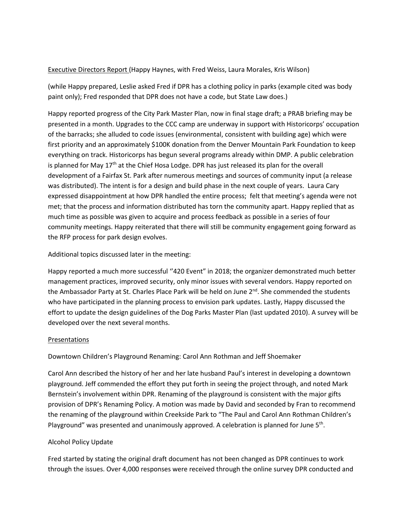## Executive Directors Report (Happy Haynes, with Fred Weiss, Laura Morales, Kris Wilson)

(while Happy prepared, Leslie asked Fred if DPR has a clothing policy in parks (example cited was body paint only); Fred responded that DPR does not have a code, but State Law does.)

Happy reported progress of the City Park Master Plan, now in final stage draft; a PRAB briefing may be presented in a month. Upgrades to the CCC camp are underway in support with Historicorps' occupation of the barracks; she alluded to code issues (environmental, consistent with building age) which were first priority and an approximately \$100K donation from the Denver Mountain Park Foundation to keep everything on track. Historicorps has begun several programs already within DMP. A public celebration is planned for May 17<sup>th</sup> at the Chief Hosa Lodge. DPR has just released its plan for the overall development of a Fairfax St. Park after numerous meetings and sources of community input (a release was distributed). The intent is for a design and build phase in the next couple of years. Laura Cary expressed disappointment at how DPR handled the entire process; felt that meeting's agenda were not met; that the process and information distributed has torn the community apart. Happy replied that as much time as possible was given to acquire and process feedback as possible in a series of four community meetings. Happy reiterated that there will still be community engagement going forward as the RFP process for park design evolves.

## Additional topics discussed later in the meeting:

Happy reported a much more successful ''420 Event" in 2018; the organizer demonstrated much better management practices, improved security, only minor issues with several vendors. Happy reported on the Ambassador Party at St. Charles Place Park will be held on June  $2^{nd}$ . She commended the students who have participated in the planning process to envision park updates. Lastly, Happy discussed the effort to update the design guidelines of the Dog Parks Master Plan (last updated 2010). A survey will be developed over the next several months.

## **Presentations**

Downtown Children's Playground Renaming: Carol Ann Rothman and Jeff Shoemaker

Carol Ann described the history of her and her late husband Paul's interest in developing a downtown playground. Jeff commended the effort they put forth in seeing the project through, and noted Mark Bernstein's involvement within DPR. Renaming of the playground is consistent with the major gifts provision of DPR's Renaming Policy. A motion was made by David and seconded by Fran to recommend the renaming of the playground within Creekside Park to "The Paul and Carol Ann Rothman Children's Playground" was presented and unanimously approved. A celebration is planned for June 5<sup>th</sup>.

# Alcohol Policy Update

Fred started by stating the original draft document has not been changed as DPR continues to work through the issues. Over 4,000 responses were received through the online survey DPR conducted and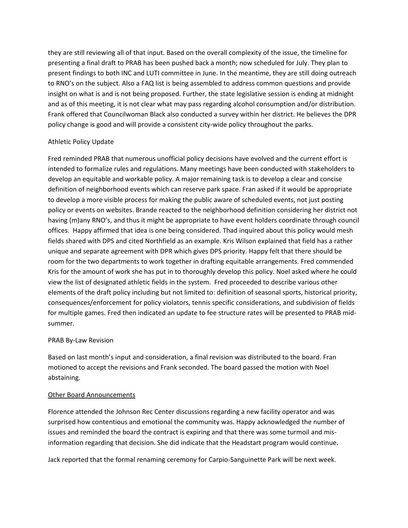they are still reviewing all of that input. Based on the overall complexity of the issue, the timeline for presenting a final draft to PRAB has been pushed back a month; now scheduled for July. They plan to present findings to both INC and LUTI committee in June. In the meantime, they are still doing outreach to RNO's on the subject. Also a FAQ list is being assembled to address common questions and provide insight on what is and is not being proposed. Further, the state legislative session is ending at midnight and as of this meeting, it is not clear what may pass regarding alcohol consumption and/or distribution. Frank offered that Councilwoman Black also conducted a survey within her district. He believes the DPR policy change is good and will provide a consistent city-wide policy throughout the parks.

## Athletic Policy Update

Fred reminded PRAB that numerous unofficial policy decisions have evolved and the current effort is intended to formalize rules and regulations. Many meetings have been conducted with stakeholders to develop an equitable and workable policy. A major remaining task is to develop a clear and concise definition of neighborhood events which can reserve park space. Fran asked if it would be appropriate to develop a more visible process for making the public aware of scheduled events, not just posting policy or events on websites. Brande reacted to the neighborhood definition considering her district not having (m)any RNO's, and thus it might be appropriate to have event holders coordinate through council offices. Happy affirmed that idea is one being considered. Thad inquired about this policy would mesh fields shared with DPS and cited Northfield as an example. Kris Wilson explained that field has a rather unique and separate agreement with DPR which gives DPS priority. Happy felt that there should be room for the two departments to work together in drafting equitable arrangements. Fred commended Kris for the amount of work she has put in to thoroughly develop this policy. Noel asked where he could view the list of designated athletic fields in the system. Fred proceeded to describe various other elements of the draft policy including but not limited to: definition of seasonal sports, historical priority, consequences/enforcement for policy violators, tennis specific considerations, and subdivision of fields for multiple games. Fred then indicated an update to fee structure rates will be presented to PRAB midsummer.

## PRAB By-Law Revision

Based on last month's input and consideration, a final revision was distributed to the board. Fran motioned to accept the revisions and Frank seconded. The board passed the motion with Noel abstaining.

## Other Board Announcements

Florence attended the Johnson Rec Center discussions regarding a new facility operator and was surprised how contentious and emotional the community was. Happy acknowledged the number of issues and reminded the board the contract is expiring and that there was some turmoil and misinformation regarding that decision. She did indicate that the Headstart program would continue.

Jack reported that the formal renaming ceremony for Carpio-Sanguinette Park will be next week.